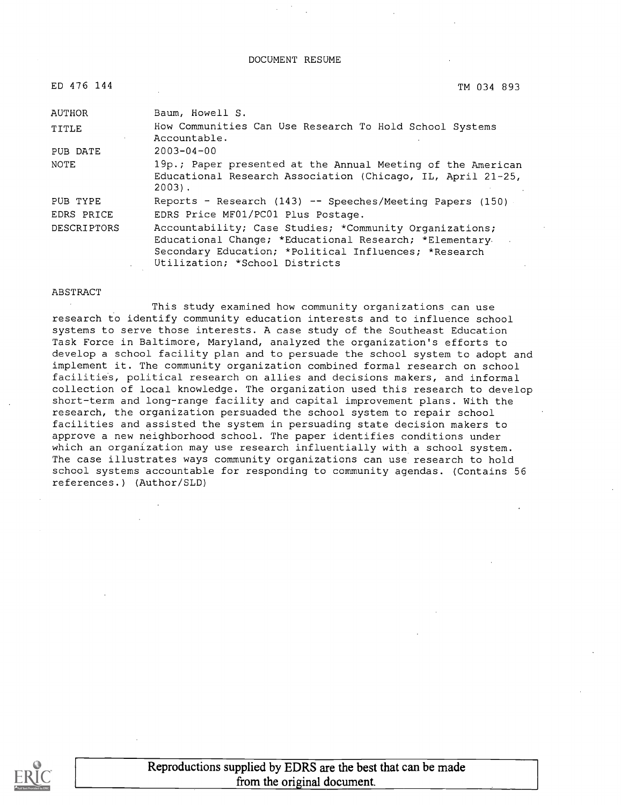#### DOCUMENT RESUME

| ED 476 144         | TM 034 893                                                                                                                                                                                                   |
|--------------------|--------------------------------------------------------------------------------------------------------------------------------------------------------------------------------------------------------------|
| <b>AUTHOR</b>      | Baum, Howell S.                                                                                                                                                                                              |
| <b>TITLE</b>       | How Communities Can Use Research To Hold School Systems<br>Accountable.                                                                                                                                      |
| PUB DATE           | $2003 - 04 - 00$                                                                                                                                                                                             |
| <b>NOTE</b>        | 19p.; Paper presented at the Annual Meeting of the American<br>Educational Research Association (Chicago, IL, April 21-25,<br>$2003$ .                                                                       |
| PUB TYPE           | Reports - Research $(143)$ -- Speeches/Meeting Papers $(150)$                                                                                                                                                |
| EDRS PRICE         | EDRS Price MF01/PC01 Plus Postage.                                                                                                                                                                           |
| <b>DESCRIPTORS</b> | Accountability; Case Studies; *Community Organizations;<br>Educational Change; *Educational Research; *Elementary<br>Secondary Education; *Political Influences; *Research<br>Utilization; *School Districts |

#### ABSTRACT

This study examined how community organizations can use research to identify community education interests and to influence school systems to serve those interests. A case study of the Southeast Education Task Force in Baltimore, Maryland, analyzed the organization's efforts to develop a school facility plan and to persuade the school system to adopt and implement it. The community organization combined formal research on school facilities, political research on allies and decisions makers, and informal collection of local knowledge. The organization used this research to develop short-term and long-range facility and capital improvement plans. With the research, the organization persuaded the school system to repair school facilities and assisted the system in persuading state decision makers to approve a new neighborhood school. The paper identifies conditions under which an organization may use research influentially with a school system. The case illustrates ways community organizations can use research to hold school systems accountable for responding to community agendas. (Contains 56 references.) (Author/SLD)

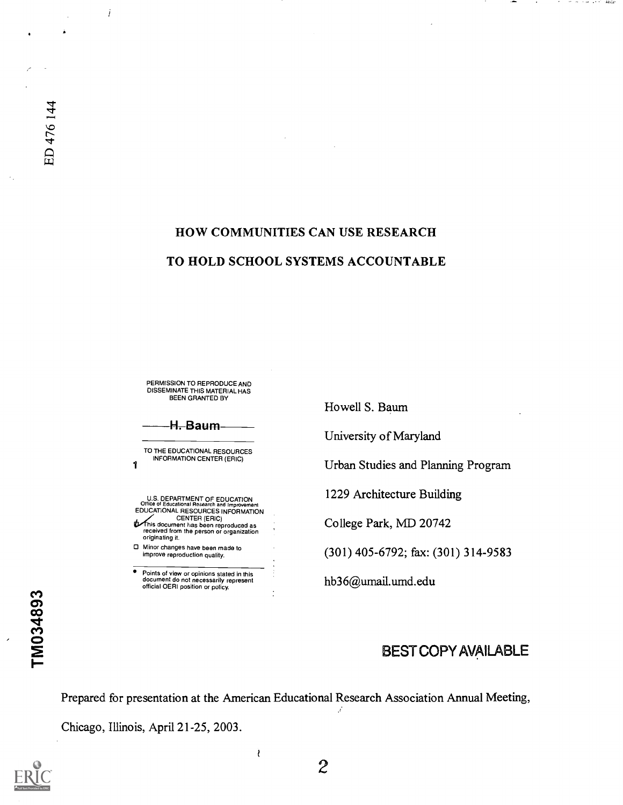İ

# HOW COMMUNITIES CAN USE RESEARCH TO HOLD SCHOOL SYSTEMS ACCOUNTABLE

PERMISSION TO REPRODUCE AND DISSEMINATE THIS MATERIAL HAS BEEN GRANTED BY

H. Baum

TO THE EDUCATIONAL RESOURCES INFORMATION CENTER (ERIC)

1

U.S. DEPARTMENT OF EDUCATION<br>Office of Educational Research and Improvement Office of Educational Research and Improvement EDUCATIONAL RESOURCES INFORMATION CENTER (ERIC)<br>This document has been reproduced as<br>received from the person or organization<br>originating it. Minor changes have been made to improve reproduction quality.

Points of view or opinions stated in this document do not necessarily represent official OERI position or policy.

Howell S. Baum

University of Maryland

Urban Studies and Planning Program

controlled the same special

1229 Architecture Building

College Park, MD 20742

(301) 405-6792; fax: (301) 314-9583

hb36@umail.umd.edu

# BEST COPY AVAILABLE

Prepared for presentation at the American Educational Research Association Annual Meeting,

ł

Chicago, Illinois, April 21-25, 2003.



TM034893

2

 $\mathcal{L}$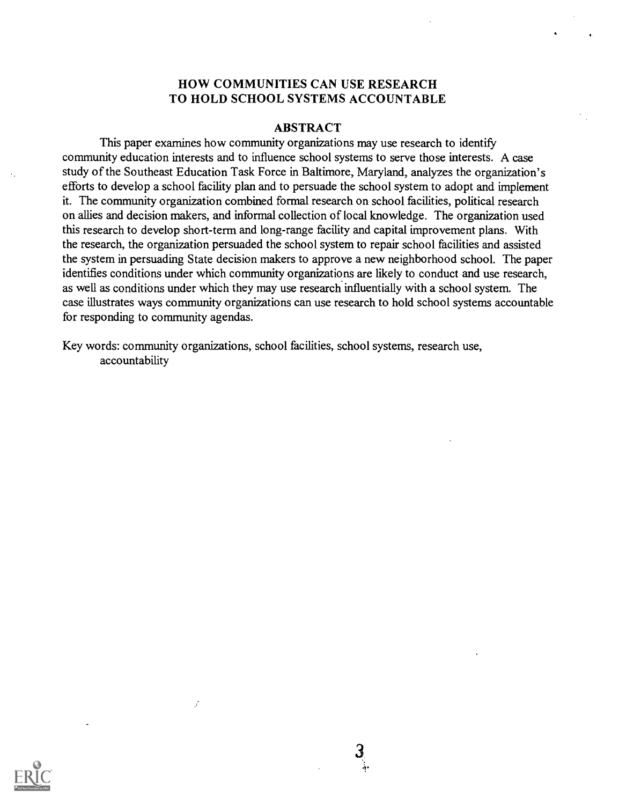### HOW COMMUNITIES CAN USE RESEARCH TO HOLD SCHOOL SYSTEMS ACCOUNTABLE

#### ABSTRACT

This paper examines how community organizations may use research to identify community education interests and to influence school systems to serve those interests. A case study of the Southeast Education Task Force in Baltimore, Maryland, analyzes the organization's efforts to develop a school facility plan and to persuade the school system to adopt and implement it. The community organization combined formal research on school facilities, political research on allies and decision makers, and informal collection of local knowledge. The organization used this research to develop short-term and long-range facility and capital improvement plans. With the research, the organization persuaded the school system to repair school facilities and assisted the system in persuading State decision makers to approve a new neighborhood school. The paper identifies conditions under which community organizations are likely to conduct and use research, as well as conditions under which they may use research influentially with a school system. The case illustrates ways community organizations can use research to hold school systems accountable for responding to community agendas.

Key words: community organizations, school facilities, school systems, research use, accountability

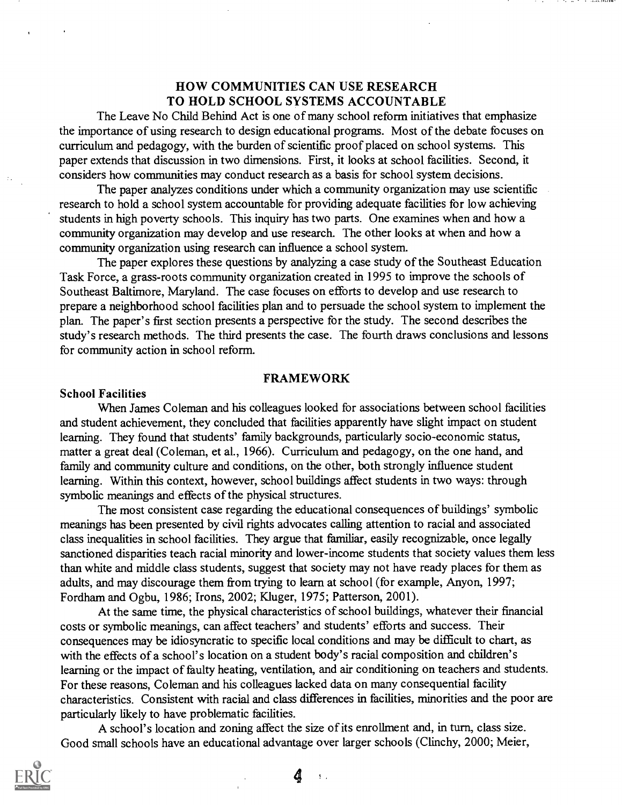## HOW COMMUNITIES CAN USE RESEARCH TO HOLD SCHOOL SYSTEMS ACCOUNTABLE

The Leave No Child Behind Act is one of many school reform initiatives that emphasize the importance of using research to design educational programs. Most of the debate focuses on curriculum and pedagogy, with the burden of scientific proof placed on school systems. This paper extends that discussion in two dimensions. First, it looks at school facilities. Second, it considers how communities may conduct research as a basis for school system decisions.

The paper analyzes conditions under which a community organization may use scientific research to hold a school system accountable for providing adequate facilities for low achieving students in high poverty schools. This inquiry has two parts. One examines when and how a community organization may develop and use research. The other looks at when and how a community organization using research can influence a school system.

The paper explores these questions by analyzing a case study of the Southeast Education Task Force, a grass-roots community organization created in 1995 to improve the schools of Southeast Baltimore, Maryland. The case focuses on efforts to develop and use research to prepare a neighborhood school facilities plan and to persuade the school system to implement the plan. The paper's first section presents a perspective for the study. The second describes the study's research methods. The third presents the case. The fourth draws conclusions and lessons for community action in school reform.

#### FRAMEWORK

#### School Facilities

When James Coleman and his colleagues looked for associations between school facilities and student achievement, they concluded that facilities apparently have slight impact on student learning. They found that students' family backgrounds, particularly socio-economic status, matter a great deal (Coleman, et al., 1966). Curriculum and pedagogy, on the one hand, and family and community culture and conditions, on the other, both strongly influence student learning. Within this context, however, school buildings affect students in two ways: through symbolic meanings and effects of the physical structures.

The most consistent case regarding the educational consequences of buildings' symbolic meanings has been presented by civil rights advocates calling attention to racial and associated class inequalities in school facilities. They argue that familiar, easily recognizable, once legally sanctioned disparities teach racial minority and lower-income students that society values them less than white and middle class students, suggest that society may not have ready places for them as adults, and may discourage them from trying to learn at school (for example, Anyon, 1997; Fordham and Ogbu, 1986; Irons, 2002; Kluger, 1975; Patterson, 2001).

At the same time, the physical characteristics of school buildings, whatever their financial costs or symbolic meanings, can affect teachers' and students' efforts and success. Their consequences may be idiosyncratic to specific local conditions and may be difficult to chart, as with the effects of a school's location on a student body's racial composition and children's learning or the impact of faulty heating, ventilation, and air conditioning on teachers and students. For these reasons, Coleman and his colleagues lacked data on many consequential facility characteristics. Consistent with racial and class differences in facilities, minorities and the poor are particularly likely to have problematic facilities.

A school's location and zoning affect the size of its enrollment and, in turn, class size. Good small schools have an educational advantage over larger schools (Clinchy, 2000; Meier,

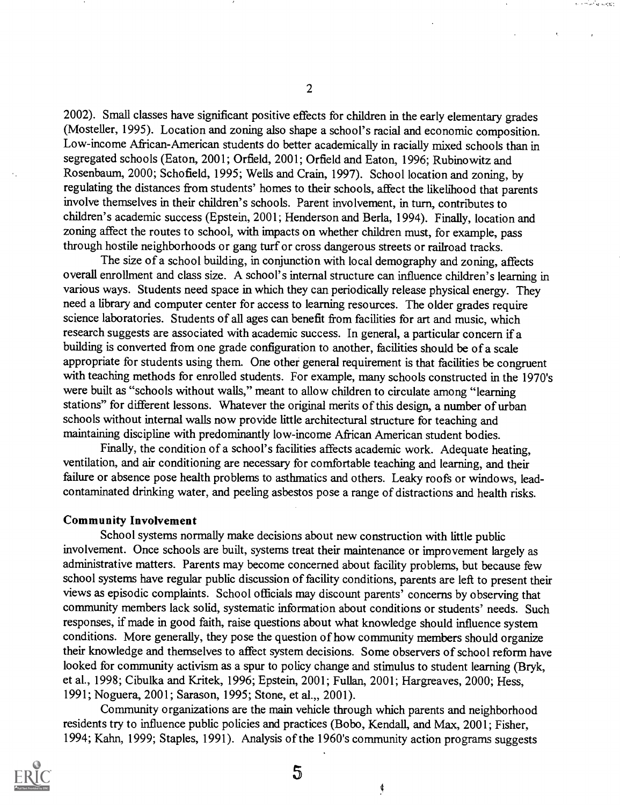2002). Small classes have significant positive effects for children in the early elementary grades (Mosteller, 1995). Location and zoning also shape a school's racial and economic composition. Low-income African-American students do better academically in racially mixed schools than in segregated schools (Eaton, 2001; Orfield, 2001; Orfield and Eaton, 1996; Rubinowitz and Rosenbaum, 2000; Schofield, 1995; Wells and Crain, 1997). School location and zoning, by regulating the distances from students' homes to their schools, affect the likelihood that parents involve themselves in their children's schools. Parent involvement, in turn, contributes to children's academic success (Epstein, 2001; Henderson and Berla, 1994). Finally, location and zoning affect the routes to school, with impacts on whether children must, for example, pass through hostile neighborhoods or gang turf or cross dangerous streets or railroad tracks.

The size of a school building, in conjunction with local demography and zoning, affects overall enrollment and class size. A school's internal structure can influence children's learning in various ways. Students need space in which they can periodically release physical energy. They need a library and computer center for access to learning resources. The older grades require science laboratories. Students of all ages can benefit from facilities for art and music, which research suggests are associated with academic success. In general, a particular concern if a building is converted from one grade configuration to another, facilities should be of a scale appropriate for students using them. One other general requirement is that facilities be congruent with teaching methods for enrolled students. For example, many schools constructed in the 1970's were built as "schools without walls," meant to allow children to circulate among "learning stations" for different lessons. Whatever the original merits of this design, a number of urban schools without internal walls now provide little architectural structure for teaching and maintaining discipline with predominantly low-income African American student bodies.

Finally, the condition of a school's facilities affects academic work. Adequate heating, ventilation, and air conditioning are necessary for comfortable teaching and learning, and their failure or absence pose health problems to asthmatics and others. Leaky roofs or windows, leadcontaminated drinking water, and peeling asbestos pose a range of distractions and health risks.

#### Community Involvement

School systems normally make decisions about new construction with little public involvement. Once schools are built, systems treat their maintenance or improvement largely as administrative matters. Parents may become concerned about facility problems, but because few school systems have regular public discussion of facility conditions, parents are left to present their views as episodic complaints. School officials may discount parents' concerns by observing that community members lack solid, systematic information about conditions or students' needs. Such responses, if made in good faith, raise questions about what knowledge should influence system conditions. More generally, they pose the question of how community members should organize their knowledge and themselves to affect system decisions. Some observers of school reform have looked for community activism as a spur to policy change and stimulus to student learning (Bryk, et al., 1998; Cibulka and Kritek, 1996; Epstein, 2001; Fullan, 2001; Hargreaves, 2000; Hess, 1991; Noguera, 2001; Sarason, 1995; Stone, et al.,, 2001).

Community organizations are the main vehicle through which parents and neighborhood residents try to influence public policies and practices (Bobo, Kendall, and Max, 2001; Fisher, 1994; Kahn, 1999; Staples, 1991). Analysis of the 1960's community action programs suggests

 $5\overline{)}$ 



2

and the second second

¢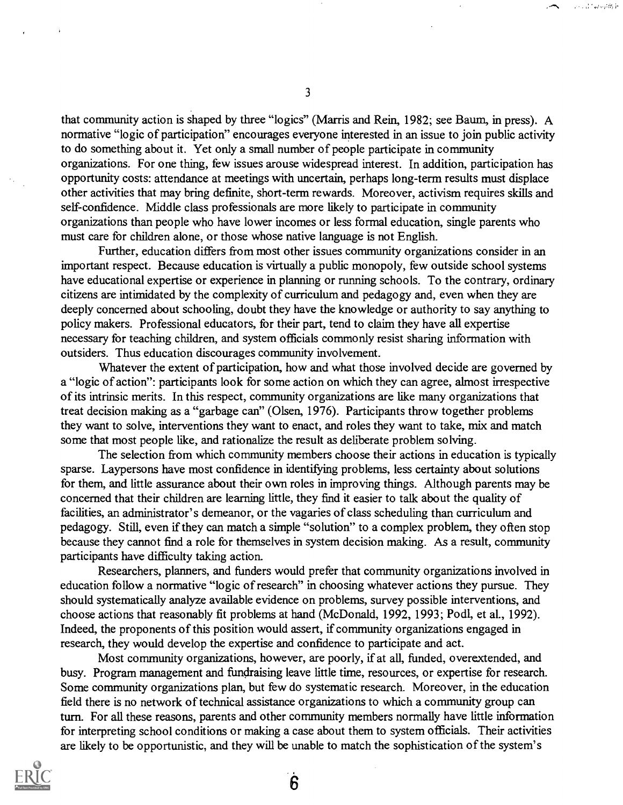that community action is shaped by three "logics" (Marris and Rein, 1982; see Baum, in press). A normative "logic of participation" encourages everyone interested in an issue to join public activity to do something about it. Yet only a small number of people participate in community organizations. For one thing, few issues arouse widespread interest. In addition, participation has opportunity costs: attendance at meetings with uncertain, perhaps long-term results must displace other activities that may bring definite, short-term rewards. Moreover, activism requires skills and self-confidence. Middle class professionals are more likely to participate in community organizations than people who have lower incomes or less formal education, single parents who must care for children alone, or those whose native language is not English.

Further, education differs from most other issues community organizations consider in an important respect. Because education is virtually a public monopoly, few outside school systems have educational expertise or experience in planning or running schools. To the contrary, ordinary citizens are intimidated by the complexity of curriculum and pedagogy and, even when they are deeply concerned about schooling, doubt they have the knowledge or authority to say anything to policy makers. Professional educators, for their part, tend to claim they have all expertise necessary for teaching children, and system officials commonly resist sharing information with outsiders. Thus education discourages community involvement.

Whatever the extent of participation, how and what those involved decide are governed by a "logic of action": participants look for some action on which they can agree, almost irrespective of its intrinsic merits. In this respect, community organizations are like many organizations that treat decision making as a "garbage can" (Olsen, 1976). Participants throw together problems they want to solve, interventions they want to enact, and roles they want to take, mix and match some that most people like, and rationalize the result as deliberate problem solving.

The selection from which community members choose their actions in education is typically sparse. Laypersons have most confidence in identifying problems, less certainty about solutions for them, and little assurance about their own roles in improving things. Although parents may be concerned that their children are learning little, they find it easier to talk about the quality of facilities, an administrator's demeanor, or the vagaries of class scheduling than curriculum and pedagogy. Still, even if they can match a simple "solution" to a complex problem, they often stop because they cannot find a role for themselves in system decision making. As a result, community participants have difficulty taking action.

Researchers, planners, and funders would prefer that community organizations involved in education follow a normative "logic of research" in choosing whatever actions they pursue. They should systematically analyze available evidence on problems, survey possible interventions, and choose actions that reasonably fit problems at hand (McDonald, 1992, 1993; Podl, et al., 1992). Indeed, the proponents of this position would assert, if community organizations engaged in research, they would develop the expertise and confidence to participate and act.

Most community organizations, however, are poorly, if at all, funded, overextended, and busy. Program management and fundraising leave little time, resources, or expertise for research. Some community organizations plan, but few do systematic research. Moreover, in the education field there is no network of technical assistance organizations to which a community group can turn. For all these reasons, parents and other community members normally have little information for interpreting school conditions or making a case about them to system officials. Their activities are likely to be opportunistic, and they will be unable to match the sophistication of the system's



3

**Security Angles**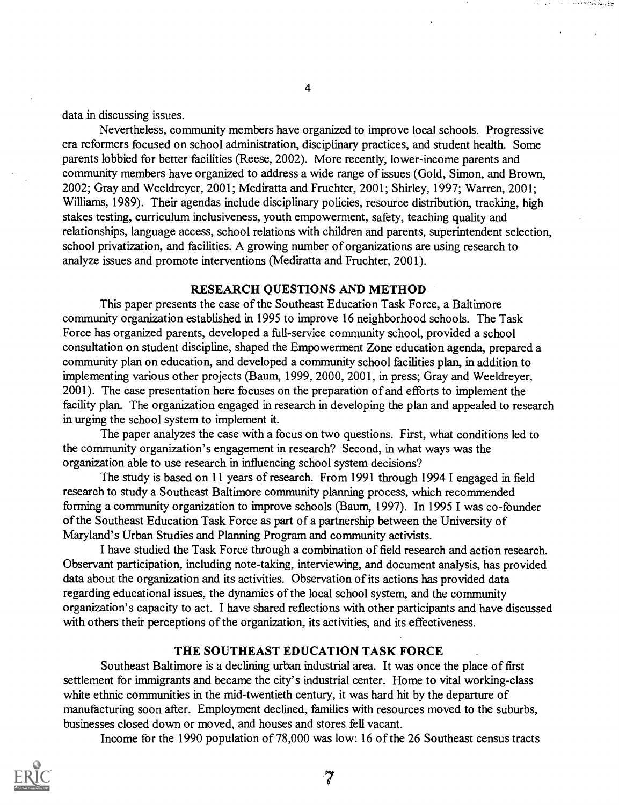data in discussing issues.

Nevertheless, community members have organized to improve local schools. Progressive era reformers focused on school administration, disciplinary practices, and student health. Some parents lobbied for better facilities (Reese, 2002). More recently, lower-income parents and community members have organized to address a wide range of issues (Gold, Simon, and Brown, 2002; Gray and Weeldreyer, 2001; Mediratta and Fruchter, 2001; Shirley, 1997; Warren, 2001; Williams, 1989). Their agendas include disciplinary policies, resource distribution, tracking, high stakes testing, curriculum inclusiveness, youth empowerment, safety, teaching quality and relationships, language access, school relations with children and parents, superintendent selection, school privatization, and facilities. A growing number of organizations are using research to analyze issues and promote interventions (Mediratta and Fruchter, 2001).

4

the constitution in

### RESEARCH QUESTIONS AND METHOD

This paper presents the case of the Southeast Education Task Force, a Baltimore community organization established in 1995 to improve 16 neighborhood schools. The Task Force has organized parents, developed a full-service community school, provided a school consultation on student discipline, shaped the Empowerment Zone education agenda, prepared a community plan on education, and developed a community school facilities plan, in addition to implementing various other projects (Baum, 1999, 2000, 2001, in press; Gray and Weeldreyer, 2001). The case presentation here focuses on the preparation of and efforts to implement the facility plan. The organization engaged in research in developing the plan and appealed to research in urging the school system to implement it.

The paper analyzes the case with a focus on two questions. First, what conditions led to the community organization's engagement in research? Second, in what ways was the organization able to use research in influencing school system decisions?

The study is based on 11 years of research. From 1991 through 1994 I engaged in field research to study a Southeast Baltimore community planning process, which recommended forming a community organization to improve schools (Baum, 1997). In 1995 I was co-founder of the Southeast Education Task Force as part of a partnership between the University of Maryland's Urban Studies and Planning Program and community activists.

I have studied the Task Force through a combination of field research and action research. Observant participation, including note-taking, interviewing, and document analysis, has provided data about the organization and its activities. Observation of its actions has provided data regarding educational issues, the dynamics of the local school system, and the community organization's capacity to act. I have shared reflections with other participants and have discussed with others their perceptions of the organization, its activities, and its effectiveness.

#### THE SOUTHEAST EDUCATION TASK FORCE

Southeast Baltimore is a declining urban industrial area. It was once the place of first settlement for immigrants and became the city's industrial center. Home to vital working-class white ethnic communities in the mid-twentieth century, it was hard hit by the departure of manufacturing soon after. Employment declined, families with resources moved to the suburbs, businesses closed down or moved, and houses and stores fell vacant.

Income for the 1990 population of 78,000 was low: 16 of the 26 Southeast census tracts

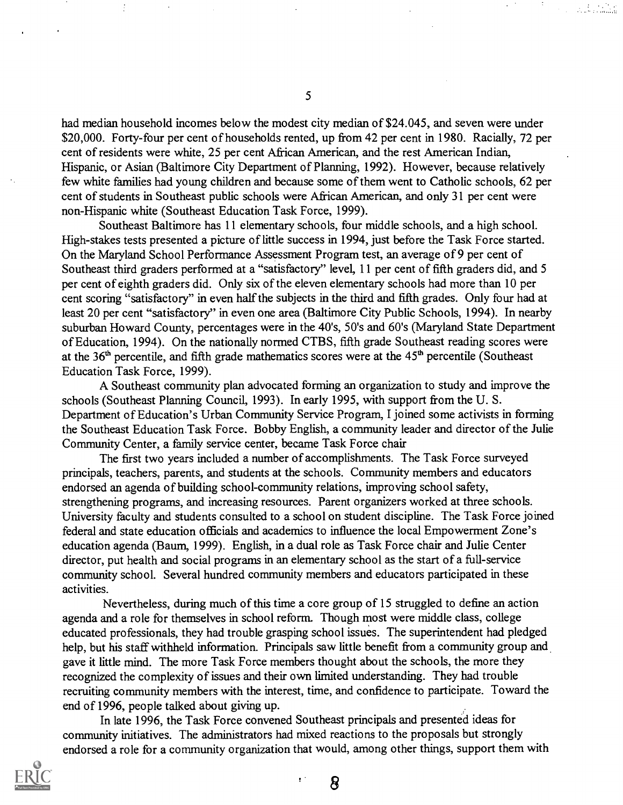had median household incomes below the modest city median of \$24.045, and seven were under \$20,000. Forty-four per cent of households rented, up from 42 per cent in 1980. Racially, 72 per cent of residents were white, 25 per cent African American, and the rest American Indian, Hispanic, or Asian (Baltimore City Department of Planning, 1992). However, because relatively few white families had young children and because some of them went to Catholic schools, 62 per cent of students in Southeast public schools were African American, and only 31 per cent were non-Hispanic white (Southeast Education Task Force, 1999).

Southeast Baltimore has 11 elementary schools, four middle schools, and a high school. High-stakes tests presented a picture of little success in 1994, just before the Task Force started. On the Maryland School Performance Assessment Program test, an average of 9 per cent of Southeast third graders performed at a "satisfactory" level, 11 per cent of fifth graders did, and 5 per cent of eighth graders did. Only six of the eleven elementary schools had more than 10 per cent scoring "satisfactory" in even half the subjects in the third and fifth grades. Only four had at least 20 per cent "satisfactory" in even one area (Baltimore City Public Schools, 1994). In nearby suburban Howard County, percentages were in the 40's, 50's and 60's (Maryland State Department of Education, 1994). On the nationally normed CTBS, fifth grade Southeast reading scores were at the  $36<sup>th</sup>$  percentile, and fifth grade mathematics scores were at the  $45<sup>th</sup>$  percentile (Southeast Education Task Force, 1999).

A Southeast community plan advocated forming an organization to study and improve the schools (Southeast Planning Council, 1993). In early 1995, with support from the U. S. Department of Education's Urban Community Service Program, I joined some activists in forming the Southeast Education Task Force. Bobby English, a community leader and director of the Julie Community Center, a family service center, became Task Force chair

The first two years included a number of accomplishments. The Task Force surveyed principals, teachers, parents, and students at the schools. Community members and educators endorsed an agenda of building school-community relations, improving school safety, strengthening programs, and increasing resources. Parent organizers worked at three schools. University faculty and students consulted to a school on student discipline. The Task Force joined federal and state education officials and academics to influence the local Empowerment Zone's education agenda (Baum, 1999). English, in a dual role as Task Force chair and Julie Center director, put health and social programs in an elementary school as the start of a full-service community school. Several hundred community members and educators participated in these activities.

Nevertheless, during much of this time a core group of 15 struggled to define an action agenda and a role for themselves in school reform. Though most were middle class, college educated professionals, they had trouble grasping school issues. The superintendent had pledged help, but his staff withheld information. Principals saw little benefit from a community group and gave it little mind. The more Task Force members thought about the schools, the more they recognized the complexity of issues and their own limited understanding. They had trouble recruiting community members with the interest, time, and confidence to participate. Toward the end of 1996, people talked about giving up.

In late 1996, the Task Force convened Southeast principals and presented ideas for community initiatives. The administrators had mixed reactions to the proposals but strongly endorsed a role for a community organization that would, among other things, support them with

 $\cdot$ 

8

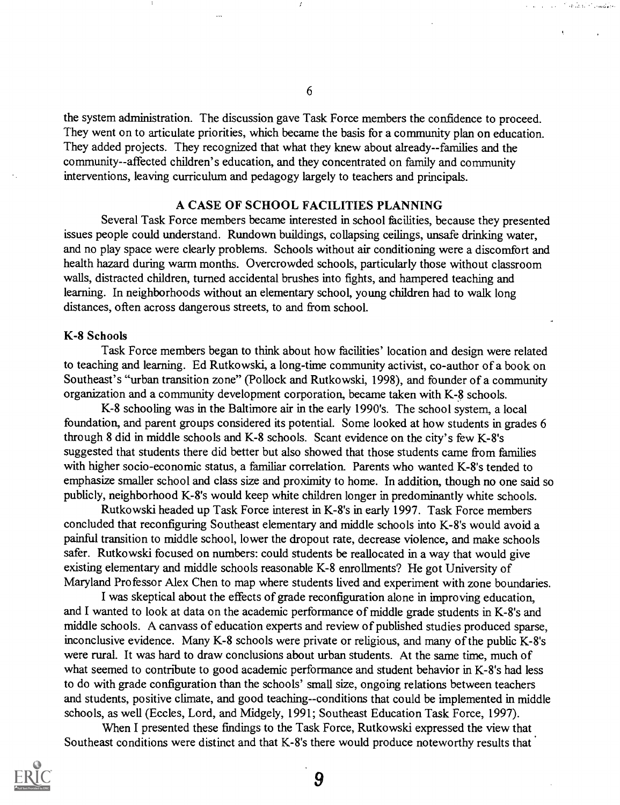the system administration. The discussion gave Task Force members the confidence to proceed. They went on to articulate priorities, which became the basis for a community plan on education. They added projects. They recognized that what they knew about already--families and the community--affected children's education, and they concentrated on family and community interventions, leaving curriculum and pedagogy largely to teachers and principals.

#### A CASE OF SCHOOL FACILITIES PLANNING

Several Task Force members became interested in school facilities, because they presented issues people could understand. Rundown buildings, collapsing ceilings, unsafe drinking water, and no play space were clearly problems. Schools without air conditioning were a discomfort and health hazard during warm months. Overcrowded schools, particularly those without classroom walls, distracted children, turned accidental brushes into fights, and hampered teaching and learning. In neighborhoods without an elementary school, young children had to walk long distances, often across dangerous streets, to and from school.

#### K-8 Schools

Task Force members began to think about how facilities' location and design were related to teaching and learning. Ed Rutkowski, a long-time community activist, co-author of a book on Southeast's "urban transition zone" (Pollock and Rutkowski, 1998), and founder of a community organization and a community development corporation, became taken with K-8 schools.

K-8 schooling was in the Baltimore air in the early 1990's. The school system, a local foundation, and parent groups considered its potential. Some looked at how students in grades 6 through 8 did in middle schools and K-8 schools. Scant evidence on the city's few K-8's suggested that students there did better but also showed that those students came from families with higher socio-economic status, a familiar correlation. Parents who wanted K-8's tended to emphasize smaller school and class size and proximity to home. In addition, though no one said so publicly, neighborhood K-8's would keep white children longer in predominantly white schools.

Rutkowski headed up Task Force interest in K-8's in early 1997. Task Force members concluded that reconfiguring Southeast elementary and middle schools into K-8's would avoid a painful transition to middle school, lower the dropout rate, decrease violence, and make schools safer. Rutkowski focused on numbers: could students be reallocated in a way that would give existing elementary and middle schools reasonable K-8 enrollments? He got University of Maryland Professor Alex Chen to map where students lived and experiment with zone boundaries.

I was skeptical about the effects of grade reconfiguration alone in improving education, and I wanted to look at data on the academic performance of middle grade students in K-8's and middle schools. A canvass of education experts and review of published studies produced sparse, inconclusive evidence. Many K-8 schools were private or religious, and many of the public K-8's were rural. It was hard to draw conclusions about urban students. At the same time, much of what seemed to contribute to good academic performance and student behavior in K-8's had less to do with grade configuration than the schools' small size, ongoing relations between teachers and students, positive climate, and good teaching--conditions that could be implemented in middle schools, as well (Eccles, Lord, and Midgely, 1991; Southeast Education Task Force, 1997).

When I presented these findings to the Task Force, Rutkowski expressed the view that Southeast conditions were distinct and that K-8's there would produce noteworthy results that



6

**Cardinal Condition**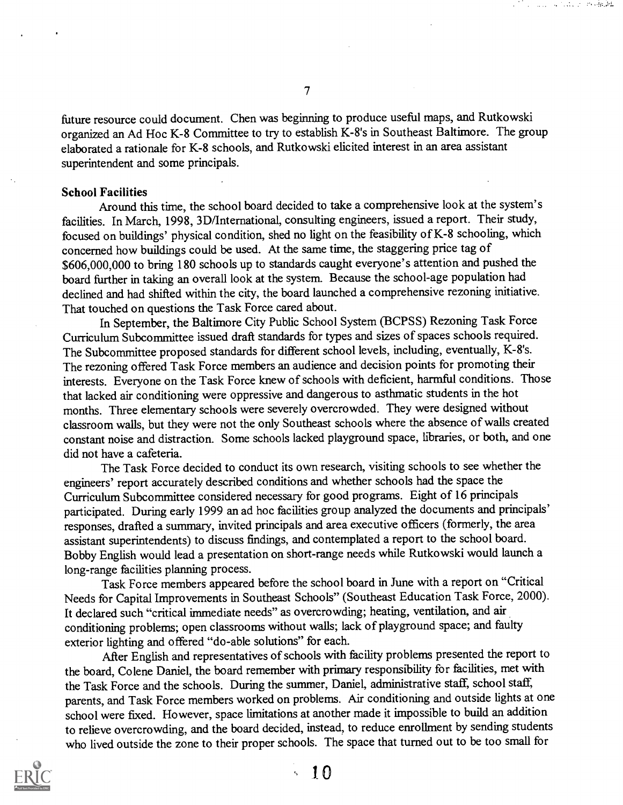future resource could document. Chen was beginning to produce useful maps, and Rutkowski organized an Ad Hoc K-8 Committee to try to establish K-8's in Southeast Baltimore. The group elaborated a rationale for K-8 schools, and Rutkowski elicited interest in an area assistant superintendent and some principals.

#### School Facilities

Around this time, the school board decided to take a comprehensive look at the system's facilities. In March, 1998, 3D/International, consulting engineers, issued a report. Their study, focused on buildings' physical condition, shed no light on the feasibility of K-8 schooling, which concerned how buildings could be used. At the same time, the staggering price tag of \$606,000,000 to bring 180 schools up to standards caught everyone's attention and pushed the board further in taking an overall look at the system. Because the school-age population had declined and had shifted within the city, the board launched a comprehensive rezoning initiative. That touched on questions the Task Force cared about.

In September, the Baltimore City Public School System (BCPSS) Rezoning Task Force Curriculum Subcommittee issued draft standards for types and sizes of spaces schools required. The Subcommittee proposed standards for different school levels, including, eventually, K-8's. The rezoning offered Task Force members an audience and decision points for promoting their interests. Everyone on the Task Force knew of schools with deficient, harmful conditions. Those that lacked air conditioning were oppressive and dangerous to asthmatic students in the hot months. Three elementary schools were severely overcrowded. They were designed without classroom walls, but they were not the only Southeast schools where the absence of walls created constant noise and distraction. Some schools lacked playground space, libraries, or both, and one did not have a cafeteria.

The Task Force decided to conduct its own research, visiting schools to see whether the engineers' report accurately described conditions and whether schools had the space the Curriculum Subcommittee considered necessary for good programs. Eight of 16 principals participated. During early 1999 an ad hoc facilities group analyzed the documents and principals' responses, drafted a summary, invited principals and area executive officers (formerly, the area assistant superintendents) to discuss findings, and contemplated a report to the school board. Bobby English would lead a presentation on short-range needs while Rutkowski would launch a long-range facilities planning process.

Task Force members appeared before the school board in June with a report on "Critical Needs for Capital Improvements in Southeast Schools" (Southeast Education Task Force, 2000). It declared such "critical immediate needs" as overcrowding; heating, ventilation, and air conditioning problems; open classrooms without walls; lack of playground space; and faulty exterior lighting and offered "do-able solutions" for each.

After English and representatives of schools with facility problems presented the report to the board, Colene Daniel, the board remember with primary responsibility for facilities, met with the Task Force and the schools. During the summer, Daniel, administrative staff, school staff, parents, and Task Force members worked on problems. Air conditioning and outside lights at one school were fixed. However, space limitations at another made it impossible to build an addition to relieve overcrowding, and the board decided, instead, to reduce enrollment by sending students who lived outside the zone to their proper schools. The space that turned out to be too small for



7

and a nature model of

- 1 O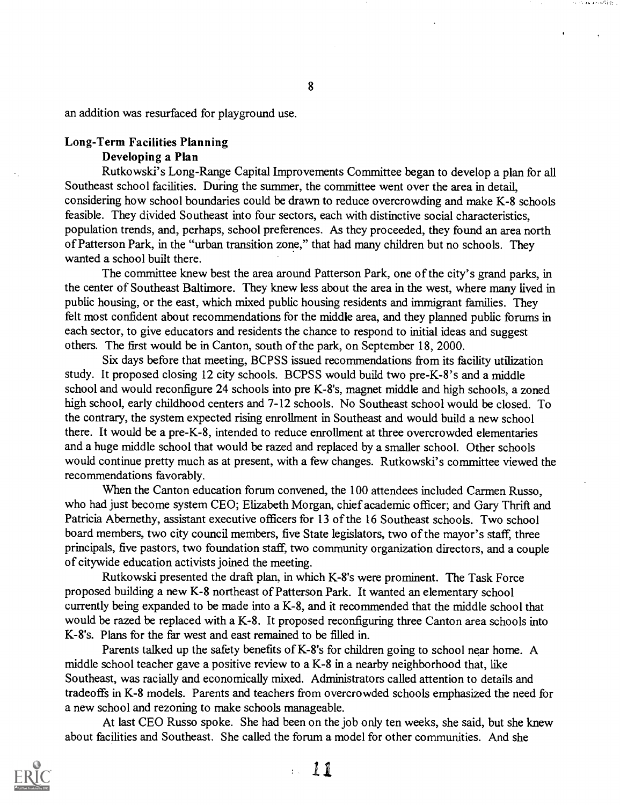an addition was resurfaced for playground use.

### Long-Term Facilities Planning Developing a Plan

Rutkowski's Long-Range Capital Improvements Committee began to develop a plan for all Southeast school facilities. During the summer, the committee went over the area in detail, considering how school boundaries could be drawn to reduce overcrowding and make K-8 schools feasible. They divided Southeast into four sectors, each with distinctive social characteristics, population trends, and, perhaps, school preferences. As they proceeded, they found an area north of Patterson Park, in the "urban transition zone," that had many children but no schools. They wanted a school built there.

The committee knew best the area around Patterson Park, one of the city's grand parks, in the center of Southeast Baltimore. They knew less about the area in the west, where many lived in public housing, or the east, which mixed public housing residents and immigrant families. They felt most confident about recommendations for the middle area, and they planned public forums in each sector, to give educators and residents the chance to respond to initial ideas and suggest others. The first would be in Canton, south of the park, on September 18, 2000.

Six days before that meeting, BCPSS issued recommendations from its facility utilization study. It proposed closing 12 city schools. BCPSS would build two pre-K-8's and a middle school and would reconfigure 24 schools into pre K-8's, magnet middle and high schools, a zoned high school, early childhood centers and 7-12 schools. No Southeast school would be closed. To the contrary, the system expected rising enrollment in Southeast and would build a new school there. It would be a pre-K-8, intended to reduce enrollment at three overcrowded elementaries and a huge middle school that would be razed and replaced by a smaller school. Other schools would continue pretty much as at present, with a few changes. Rutkowski's committee viewed the recommendations favorably.

When the Canton education forum convened, the 100 attendees included Carmen Russo, who had just become system CEO; Elizabeth Morgan, chief academic officer; and Gary Thrift and Patricia Abernethy, assistant executive officers for 13 of the 16 Southeast schools. Two school board members, two city council members, five State legislators, two of the mayor's staff, three principals, five pastors, two foundation staff, two community organization directors, and a couple of citywide education activists joined the meeting.

Rutkowski presented the draft plan, in which K-8's were prominent. The Task Force proposed building a new K-8 northeast of Patterson Park. It wanted an elementary school currently being expanded to be made into a K-8, and it recommended that the middle school that would be razed be replaced with a K-8. It proposed reconfiguring three Canton area schools into K-8's. Plans for the far west and east remained to be filled in.

Parents talked up the safety benefits of K-8's for children going to school near home. A middle school teacher gave a positive review to a K-8 in a nearby neighborhood that, like Southeast, was racially and economically mixed. Administrators called attention to details and tradeoffs in K-8 models. Parents and teachers from overcrowded schools emphasized the need for a new school and rezoning to make schools manageable.

At last CEO Russo spoke. She had been on the job only ten weeks, she said, but she knew about facilities and Southeast. She called the forum a model for other communities. And she

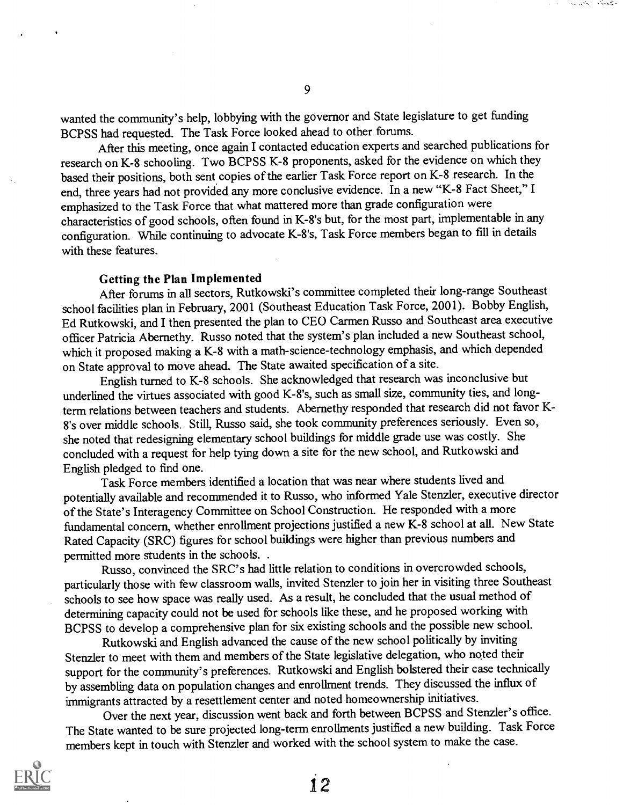wanted the community's help, lobbying with the governor and State legislature to get funding BCPSS had requested. The Task Force looked ahead to other forums.

After this meeting, once again I contacted education experts and searched publications for research on K-8 schooling. Two BCPSS K-8 proponents, asked for the evidence on which they based their positions, both sent copies of the earlier Task Force report on K-8 research. In the end, three years had not provided any more conclusive evidence. In a new "K-8 Fact Sheet," I emphasized to the Task Force that what mattered more than grade configuration were characteristics of good schools, often found in K-8's but, for the most part, implementable in any configuration. While continuing to advocate K-8's, Task Force members began to fill in details with these features.

#### Getting the Plan Implemented

After forums in all sectors, Rutkowski's committee completed their long-range Southeast school facilities plan in February, 2001 (Southeast Education Task Force, 2001). Bobby English, Ed Rutkowski, and I then presented the plan to CEO Carmen Russo and Southeast area executive officer Patricia Abernethy. Russo noted that the system's plan included a new Southeast school, which it proposed making a K-8 with a math-science-technology emphasis, and which depended on State approval to move ahead. The State awaited specification of a site.

English turned to K-8 schools. She acknowledged that research was inconclusive but underlined the virtues associated with good K-8's, such as small size, community ties, and longterm relations between teachers and students. Abernethy responded that research did not favor K-8's over middle schools. Still, Russo said, she took community preferences seriously. Even so, she noted that redesigning elementary school buildings for middle grade use was costly. She concluded with a request for help tying down a site for the new school, and Rutkowski and English pledged to find one.

Task Force members identified a location that was near where students lived and potentially available and recommended it to Russo, who informed Yale Stenzler, executive director of the State's Interagency Committee on School Construction. He responded with a more fundamental concern, whether enrollment projections justified a new K-8 school at all. New State Rated Capacity (SRC) figures for school buildings were higher than previous numbers and permitted more students in the schools. .

Russo, convinced the SRC's had little relation to conditions in overcrowded schools, particularly those with few classroom walls, invited Stenzler to join her in visiting three Southeast schools to see how space was really used. As a result, he concluded that the usual method of determining capacity could not be used for schools like these, and he proposed working with BCPSS to develop a comprehensive plan for six existing schools and the possible new school.

Rutkowski and English advanced the cause of the new school politically by inviting Stenzler to meet with them and members of the State legislative delegation, who noted their support for the community's preferences. Rutkowski and English bolstered their case technically by assembling data on population changes and enrollment trends. They discussed the influx of immigrants attracted by a resettlement center and noted homeownership initiatives.

Over the next year, discussion went back and forth between BCPSS and Stenzler's office. The State wanted to be sure projected long-term enrollments justified a new building. Task Force members kept in touch with Stenzler and worked with the school system to make the case.



**ALL STREET**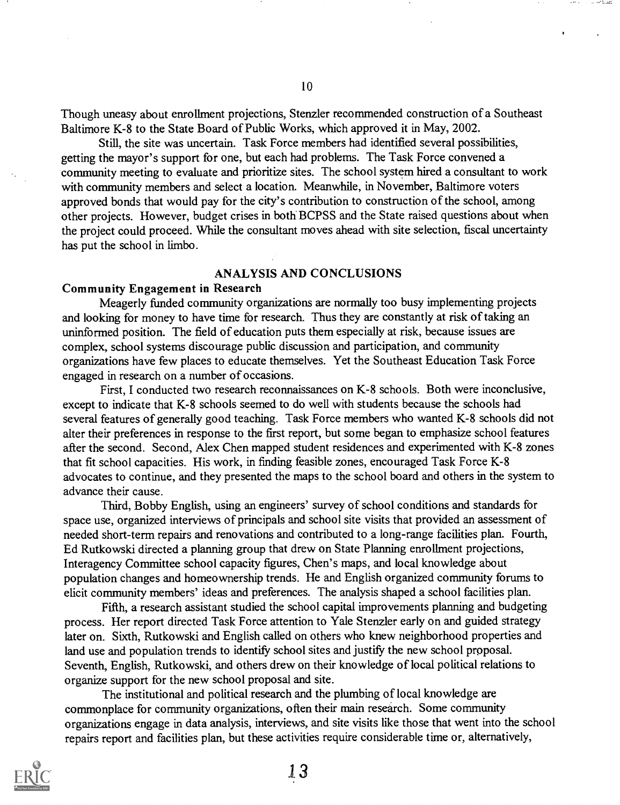Though uneasy about enrollment projections, Stenzler recommended construction of a Southeast Baltimore K-8 to the State Board of Public Works, which approved it in May, 2002.

Still, the site was uncertain. Task Force members had identified several possibilities, getting the mayor's support for one, but each had problems. The Task Force convened a community meeting to evaluate and prioritize sites. The school system hired a consultant to work with community members and select a location. Meanwhile, in November, Baltimore voters approved bonds that would pay for the city's contribution to construction of the school, among other projects. However, budget crises in both BCPSS and the State raised questions about when the project could proceed. While the consultant moves ahead with site selection, fiscal uncertainty has put the school in limbo.

#### ANALYSIS AND CONCLUSIONS

#### Community Engagement in Research

Meagerly funded community organizations are normally too busy implementing projects and looking for money to have time for research. Thus they are constantly at risk of taking an uninformed position. The field of education puts them especially at risk, because issues are complex, school systems discourage public discussion and participation, and community organizations have few places to educate themselves. Yet the Southeast Education Task Force engaged in research on a number of occasions.

First, I conducted two research reconnaissances on K-8 schools. Both were inconclusive, except to indicate that K-8 schools seemed to do well with students because the schools had several features of generally good teaching. Task Force members who wanted K-8 schools did not alter their preferences in response to the first report, but some began to emphasize school features after the second. Second, Alex Chen mapped student residences and experimented with K-8 zones that fit school capacities. His work, in finding feasible zones, encouraged Task Force K-8 advocates to continue, and they presented the maps to the school board and others in the system to advance their cause.

Third, Bobby English, using an engineers' survey of school conditions and standards for space use, organized interviews of principals and school site visits that provided an assessment of needed short-term repairs and renovations and contributed to a long-range facilities plan. Fourth, Ed Rutkowski directed a planning group that drew on State Planning enrollment projections, Interagency Committee school capacity figures, Chen's maps, and local knowledge about population changes and homeownership trends. He and English organized community forums to elicit community members' ideas and preferences. The analysis shaped a school facilities plan.

Fifth, a research assistant studied the school capital improvements planning and budgeting process. Her report directed Task Force attention to Yale Stenzler early on and guided strategy later on. Sixth, Rutkowski and English called on others who knew neighborhood properties and land use and population trends to identify school sites and justify the new school proposal. Seventh, English, Rutkowski, and others drew on their knowledge of local political relations to organize support for the new school proposal and site.

The institutional and political research and the plumbing of local knowledge are commonplace for community organizations, often their main research. Some community organizations engage in data analysis, interviews, and site visits like those that went into the school repairs report and facilities plan, but these activities require considerable time or, alternatively,

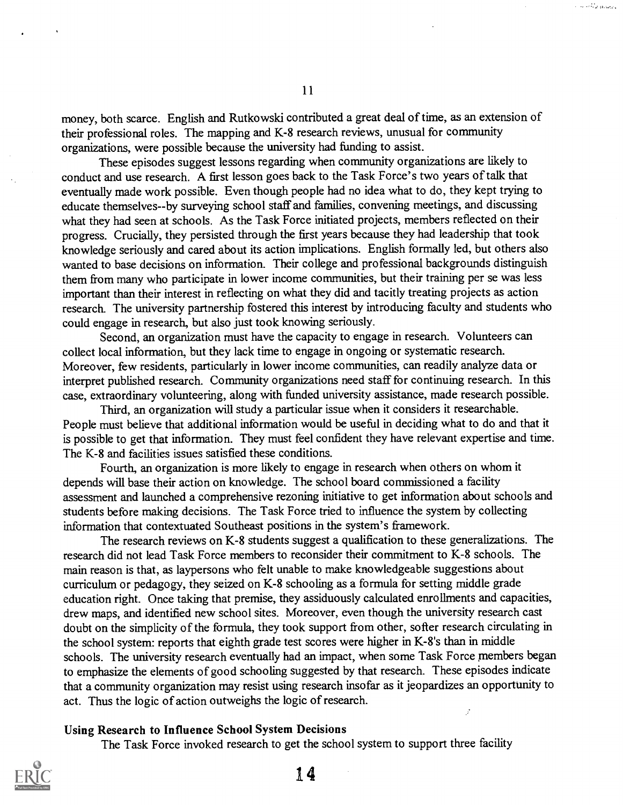money, both scarce. English and Rutkowski contributed a great deal of time, as an extension of their professional roles. The mapping and K-8 research reviews, unusual for community organizations, were possible because the university had funding to assist.

These episodes suggest lessons regarding when community organizations are likely to conduct and use research. A first lesson goes back to the Task Force's two years of talk that eventually made work possible. Even though people had no idea what to do, they kept trying to educate themselves--by surveying school staff and families, convening meetings, and discussing what they had seen at schools. As the Task Force initiated projects, members reflected on their progress. Crucially, they persisted through the first years because they had leadership that took knowledge seriously and cared about its action implications. English formally led, but others also wanted to base decisions on information. Their college and professional backgrounds distinguish them from many who participate in lower income communities, but their training per se was less important than their interest in reflecting on what they did and tacitly treating projects as action research. The university partnership fostered this interest by introducing faculty and students who could engage in research, but also just took knowing seriously.

Second, an organization must have the capacity to engage in research. Volunteers can collect local information, but they lack time to engage in ongoing or systematic research. Moreover, few residents, particularly in lower income communities, can readily analyze data or interpret published research. Community organizations need staff for continuing research. In this case, extraordinary volunteering, along with funded university assistance, made research possible.

Third, an organization will study a particular issue when it considers it researchable. People must believe that additional information would be useful in deciding what to do and that it is possible to get that information. They must feel confident they have relevant expertise and time. The K-8 and facilities issues satisfied these conditions.

Fourth, an organization is more likely to engage in research when others on whom it depends will base their action on knowledge. The school board commissioned a facility assessment and launched a comprehensive rezoning initiative to get information about schools and students before making decisions. The Task Force tried to influence the system by collecting information that contextuated Southeast positions in the system's framework.

The research reviews on K-8 students suggest a qualification to these generalizations. The research did not lead Task Force members to reconsider their commitment to K-8 schools. The main reason is that, as laypersons who felt unable to make knowledgeable suggestions about curriculum or pedagogy, they seized on K-8 schooling as a formula for setting middle grade education right. Once taking that premise, they assiduously calculated enrollments and capacities, drew maps, and identified new school sites. Moreover, even though the university research cast doubt on the simplicity of the formula, they took support from other, softer research circulating in the school system: reports that eighth grade test scores were higher in K-8's than in middle schools. The university research eventually had an impact, when some Task Force members began to emphasize the elements of good schooling suggested by that research. These episodes indicate that a community organization may resist using research insofar as it jeopardizes an opportunity to act. Thus the logic of action outweighs the logic of research. ý.

#### Using Research to Influence School System Decisions

The Task Force invoked research to get the school system to support three facility



s so os pragados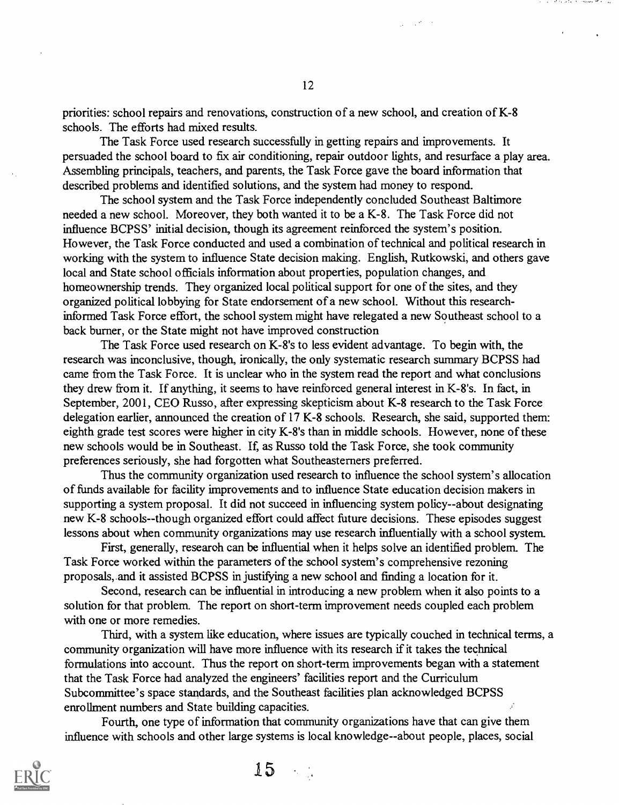priorities: school repairs and renovations, construction of a new school, and creation of K-8 schools. The efforts had mixed results.

The Task Force used research successfully in getting repairs and improvements. It persuaded the school board to fix air conditioning, repair outdoor lights, and resurface a play area. Assembling principals, teachers, and parents, the Task Force gave the board information that described problems and identified solutions, and the system had money to respond.

The school system and the Task Force independently concluded Southeast Baltimore needed a new school. Moreover, they both wanted it to be a K-8. The Task Force did not influence BCPSS' initial decision, though its agreement reinforced the system's position. However, the Task Force conducted and used a combination of technical and political research in working with the system to influence State decision making. English, Rutkowski, and others gave local and State school officials information about properties, population changes, and homeownership trends. They organized local political support for one of the sites, and they organized political lobbying for State endorsement of a new school. Without this researchinformed Task Force effort, the school system might have relegated a new Southeast school to a back burner, or the State might not have improved construction

The Task Force used research on K-8's to less evident advantage. To begin with, the research was inconclusive, though, ironically, the only systematic research summary BCPSS had came from the Task Force. It is unclear who in the system read the report and what conclusions they drew from it. If anything, it seems to have reinforced general interest in K-8's. In fact, in September, 2001, CEO Russo, after expressing skepticism about K-8 research to the Task Force delegation earlier, announced the creation of 17 K-8 schools. Research, she said, supported them: eighth grade test scores were higher in city K-8's than in middle schools. However, none of these new schools would be in Southeast. If, as Russo told the Task Force, she took community preferences seriously, she had forgotten what Southeasterners preferred.

Thus the community organization used research to influence the school system's allocation of funds available for facility improvements and to influence State education decision makers in supporting a system proposal. It did not succeed in influencing system policy- -about designating new K-8 schools--though organized effort could affect future decisions. These episodes suggest lessons about when community organizations may use research influentially with a school system.

First, generally, research can be influential when it helps solve an identified problem. The Task Force worked within the parameters of the school system's comprehensive rezoning proposals, and it assisted BCPSS in justifying a new school and finding a location for it.

Second, research can be influential in introducing a new problem when it also points to a solution for that problem. The report on short-term improvement needs coupled each problem with one or more remedies.

Third, with a system like education, where issues are typically couched in technical terms, a community organization will have more influence with its research if it takes the technical formulations into account. Thus the report on short-term improvements began with a statement that the Task Force had analyzed the engineers' facilities report and the Curriculum Subcommittee's space standards, and the Southeast facilities plan acknowledged BCPSS enrollment numbers and State building capacities.

Fourth, one type of information that community organizations have that can give them influence with schools and other large systems is local knowledge--about people, places, social



12

 $\mathcal{L}_{\mathcal{A}}(\mathcal{B})\subset\mathcal{B}$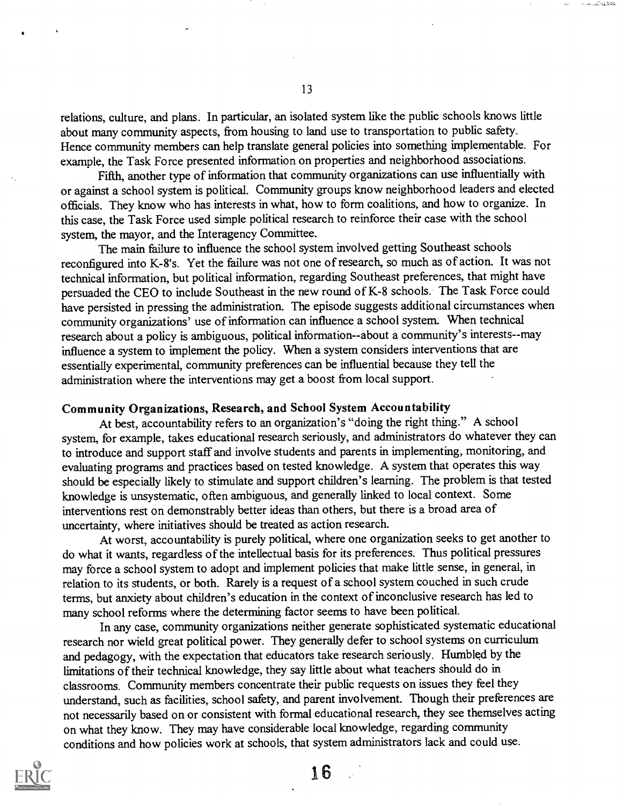relations, culture, and plans. In particular, an isolated system like the public schools knows little about many community aspects, from housing to land use to transportation to public safety. Hence community members can help translate general policies into something implementable. For example, the Task Force presented information on properties and neighborhood associations.

Fifth, another type of information that community organizations can use influentially with or against a school system is political. Community groups know neighborhood leaders and elected officials. They know who has interests in what, how to form coalitions, and how to organize. In this case, the Task Force used simple political research to reinforce their case with the school system, the mayor, and the Interagency Committee.

The main failure to influence the school system involved getting Southeast schools reconfigured into K-8's. Yet the failure was not one of research, so much as of action. It was not technical information, but political information, regarding Southeast preferences, that might have persuaded the CEO to include Southeast in the new round of K-8 schools. The Task Force could have persisted in pressing the administration. The episode suggests additional circumstances when community organizations' use of information can influence a school system. When technical research about a policy is ambiguous, political information--about a community's interests--may influence a system to implement the policy. When a system considers interventions that are essentially experimental, community preferences can be influential because they tell the administration where the interventions may get a boost from local support.

### Community Organizations, Research, and School System Accountability

At best, accountability refers to an organization's "doing the right thing." A school system, for example, takes educational research seriously, and administrators do whatever they can to introduce and support staff and involve students and parents in implementing, monitoring, and evaluating programs and practices based on tested knowledge. A system that operates this way should be especially likely to stimulate and support children's learning. The problem is that tested knowledge is unsystematic, often ambiguous, and generally linked to local context. Some interventions rest on demonstrably better ideas than others, but there is a broad area of uncertainty, where initiatives should be treated as' action research.

At worst, accountability is purely political, where one organization seeks to get another to do what it wants, regardless of the intellectual basis for its preferences. Thus political pressures may force a school system to adopt and implement policies that make little sense, in general, in relation to its students, or both. Rarely is a request of a school system couched in such crude terms, but anxiety about children's education in the context of inconclusive research has led to many school reforms where the determining factor seems to have been political.

In any case, community organizations neither generate sophisticated systematic educational research nor wield great political power. They generally defer to school systems on curriculum and pedagogy, with the expectation that educators take research seriously. Humbled by the limitations of their technical knowledge, they say little about what teachers should do in classrooms. Community members concentrate their public requests on issues they feel they understand, such as facilities, school safety, and parent involvement. Though their preferences are not necessarily based on or consistent with formal educational research, they see themselves acting on what they know. They may have considerable local knowledge, regarding community conditions and how policies work at schools, that system administrators lack and could use.



13

:41,41,41,41,41,41,41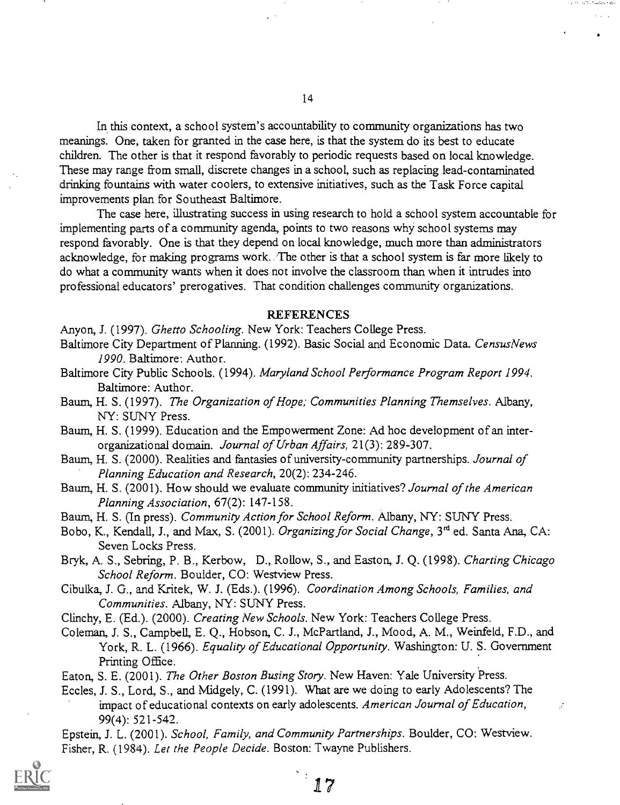In this context, a school system's accountability to community organizations has two meanings. One, taken for granted in the case here, is that the system do its best to educate children. The other is that it respond favorably to periodic requests based on local knowledge. These may range from small, discrete changes in a school, such as replacing lead-contaminated drinking fountains with water coolers, to extensive initiatives, such as the Task Force capital improvements plan for Southeast Baltimore.

The case here, illustrating success in using research to hold a school system accountable for implementing parts of a community agenda, points to two reasons why school systems may respond favorably. One is that they depend on local knowledge, much more than administrators acknowledge, for making programs work. The other is that a school system is far more likely to do what a community wants when it does not involve the classroom than when it intrudes into professional educators' prerogatives. That condition challenges community organizations.

#### REFERENCES

Anyon, J. (1997). Ghetto Schooling. New York: Teachers College Press.

- Baltimore City Department of Planning. (1992). Basic Social and Economic Data. CensusNews 1990. Baltimore: Author.
- Baltimore City Public Schools. (1994). Maryland School Performance Program Report 1994. Baltimore: Author.
- Baum, H. S. (1997). The Organization of Hope; Communities Planning Themselves. Albany, NY: SUNY Press.
- Baum, H. S. (1999). Education and the Empowerment Zone: Ad hoc development of an interorganizational domain. Journal of Urban Affairs, 21(3): 289-307.
- Baum, H. S. (2000). Realities and fantasies of university-community partnerships. Journal of Planning Education and Research, 20(2): 234-246.
- Baum, H. S. (2001). How should we evaluate community initiatives? Journal of the American Planning Association, 67(2): 147-158.
- Baum, H. S. (In press). Community Action for School Reform. Albany, NY: SUNY Press.
- Bobo, K., Kendall, J., and Max, S. (2001). Organizing for Social Change, 3<sup>rd</sup> ed. Santa Ana, CA: Seven Locks Press.

Bryk, A. S., Sebring, P. B., Kerbow, D., Rollow, S., and Easton, J. Q. (1998). Charting Chicago School Reform. Boulder, CO: Westview Press.

Cibulka, J. G., and Kritek, W. J. (Eds.). (1996). Coordination Among Schools, Families, and Communities. Albany, NY: SUNY Press.

Clinchy, E. (Ed.). (2000). Creating New Schools. New York: Teachers College Press.

Coleman, J. S., Campbell, E. Q., Hobson, C. J., McPartland, J., Mood, A. M., Weinfeld, F.D., and York, R. L. (1966). Equality of Educational Opportunity. Washington: U. S. Government Printing Office.

Eaton, S. E. (2001). The Other Boston Busing Story. New Haven: Yale University Press.

Eccles, J. S., Lord, S., and Midgely, C. (1991). What are we doing to early Adolescents? The impact of educational contexts on early adolescents. American Journal of Education, 99(4): 521-542.

Epstein, J. L. (2001). School, Family, and Community Partnerships. Boulder, CO: Westview. Fisher, R. (1984). Let the People Decide. Boston: Twayne Publishers.

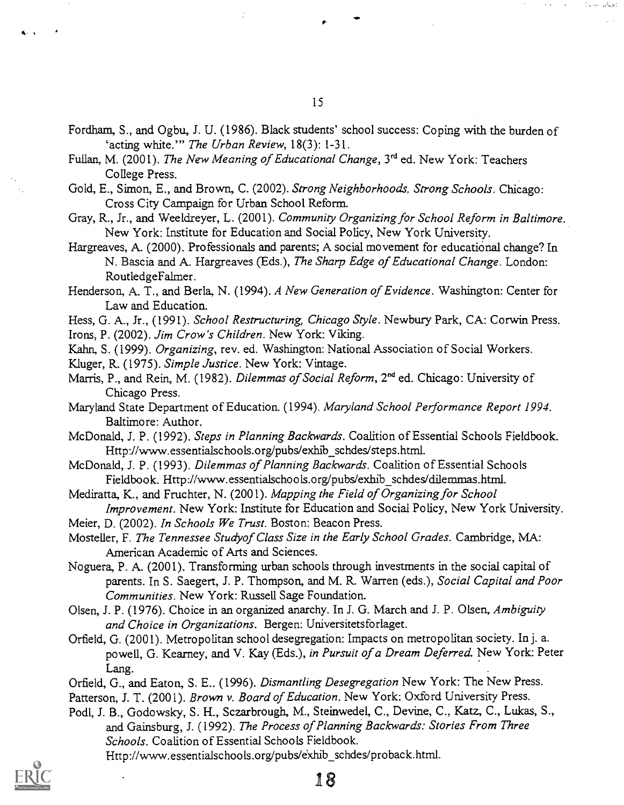- Fordham, S., and Ogbu, J. U. (1986). Black students' school success: Coping with the burden of 'acting white.'" The Urban Review, 18(3): 1-31.
- Fullan, M. (2001). The New Meaning of Educational Change, 3<sup>rd</sup> ed. New York: Teachers College Press.
- Gold, E., Simon, E., and Brown, C. (2002). Strong Neighborhoods, Strong Schools. Chicago: Cross City Campaign for Urban School Reform.
- Gray, R., Jr., and Weeldreyer, L. (2001). Community Organizing for School Reform in Baltimore. New York: Institute for Education and Social Policy, New York University.
- Hargreaves, A. (2000). Professionals and parents; A social movement for educational change? In N. Bascia and A. Hargreaves (Eds.), The Sharp Edge of Educational Change. London: RoutledgeFalmer.
- Henderson, A. T., and Berla, N. (1994). A New Generation of Evidence. Washington: Center for Law and Education.
- Hess, G. A., Jr., (1991). School Restructuring, Chicago Style. Newbury Park, CA: Corwin Press.
- Irons, P. (2002). Jim Crow's Children. New York: Viking.
- Kahn, S. (1999). Organizing, rev. ed. Washington: National Association of Social Workers.
- Kluger, R. (1975). Simple Justice. New York: Vintage.
- Marris, P., and Rein, M. (1982). Dilemmas of Social Reform, 2<sup>nd</sup> ed. Chicago: University of Chicago Press.
- Maryland State Department of Education. (1994). Maryland School Performance Report 1994. Baltimore: Author.
- McDonald, J. P. (1992). Steps in Planning Backwards. Coalition of Essential Schools Fieldbook. Http://www.essentialschools.org/pubs/exhib\_schdes/steps.html.
- McDonald, J. P. (1993). Dilemmas of Planning Backwards. Coalition of Essential Schools Fieldbook. Http://www.essentialschools.org/pubs/exhib\_schdes/dilemmas.html.
- Mediratta, K., and Fruchter, N. (2001). Mapping the Field of Organizing for School Improvement. New York: Institute for Education and Social Policy, New York University.
- Meier, D. (2002). In Schools We Trust. Boston: Beacon Press.
- Mosteller, F. The Tennessee Studyof Class Size in the Early School Grades. Cambridge, MA: American Academic of Arts and Sciences.
- Noguera, P. A. (2001). Transforming urban schools through investments in the social capital of parents. In S. Saegert, J. P. Thompson, and M. R. Warren (eds.), Social Capital and Poor Communities. New York: Russell Sage Foundation.
- Olsen, J. P. (1976). Choice in an organized anarchy. In J. G. March and J. P. Olsen, Ambiguity and Choice in Organizations. Bergen: Universitetsforlaget.
- Orfield, G. (2001). Metropolitan school desegregation: Impacts on metropolitan society. In j. a. powell, G. Kearney, and V. Kay (Eds.), in Pursuit of a Dream Deferred. New York: Peter Lang.
- Orfield, G., and Eaton, S. E.. (1996). Dismantling Desegregation New York: The New Press. Patterson, J. T. (2001). Brown v. Board of Education. New York: Oxford University Press.
- Podl, J. B., Godowsky, S. H., Sczarbrough, M., Steinwedel, C., Devine, C., Katz, C., Lukas, S.,
- and Gainsburg, J. (1992). The Process of Planning Backwards: Stories From Three Schools. Coalition of Essential Schools Fieldbook. Http://www.essentialschools.org/pubs/exhib\_schdes/proback.html.

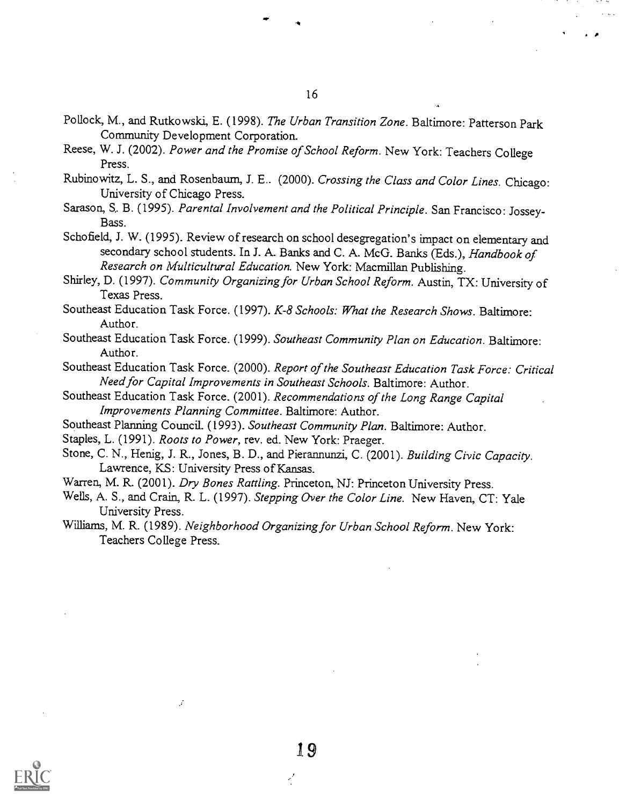- Pollock, M., and Rutkowski, E. (1998). The Urban Transition Zone. Baltimore: Patterson Park Community Development Corporation.
- Reese, W. J. (2002). Power and the Promise of School Reform. New York: Teachers College Press.
- Rubinowitz, L. S., and Rosenbaum, J. E.. (2000). Crossing the Class and Color Lines. Chicago: University of Chicago Press.
- Sarason, S. B. (1995). Parental Involvement and the Political Principle. San Francisco: Jossey-Bass.
- Schofield, J. W. (1995). Review of research on school desegregation's impact on elementary and secondary school students. In J. A. Banks and C. A. McG. Banks (Eds.), Handbook of Research on Multicultural Education. New York: Macmillan Publishing.
- Shirley, D. (1997). Community Organizing for Urban School Reform. Austin, TX: University of Texas Press.
- Southeast Education Task Force. (1997). K-8 Schools: What the Research Shows. Baltimore: Author.
- Southeast Education Task Force. (1999). Southeast Community Plan on Education. Baltimore: Author.
- Southeast Education Task Force. (2000). Report of the Southeast Education Task Force: Critical Need for Capital Improvements in Southeast Schools. Baltimore: Author.
- Southeast Education Task Force. (2001). Recommendations of the Long Range Capital Improvements Planning Committee. Baltimore: Author.
- Southeast Planning Council. (1993). Southeast Community Plan. Baltimore: Author.
- Staples, L. (1991). Roots to Power, rev. ed. New York: Praeger.
- Stone, C. N., Henig, J. R., Jones, B. D., and Pierannunzi, C. (2001). Building Civic Capacity. Lawrence, KS: University Press of Kansas.
- Warren, M. R. (2001). Dry Bones Rattling. Princeton, NJ: Princeton University Press.
- Wells, A. S., and Crain, R. L. (1997). Stepping Over the Color Line. New Haven, CT: Yale University Press.
- Williams, M. R. (1989). Neighborhood Organizing for Urban School Reform. New York: Teachers College Press.



16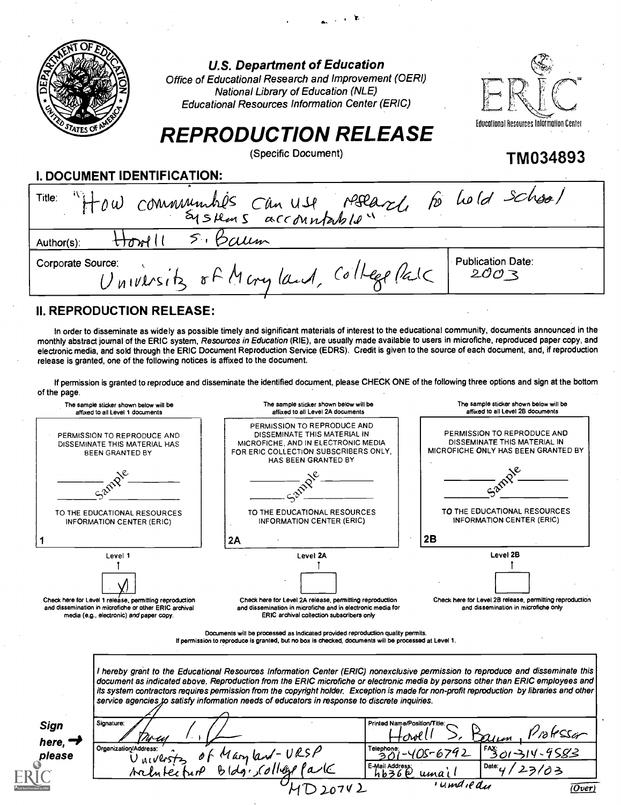|                                  | <b>U.S. Department of Education</b><br>Office of Educational Research and Improvement (OERI)<br><b>National Library of Education (NLE)</b><br><b>Educational Resources Information Center (ERIC)</b><br><b>REPRODUCTION RELEASE</b> | Educational Resources Information Center |
|----------------------------------|-------------------------------------------------------------------------------------------------------------------------------------------------------------------------------------------------------------------------------------|------------------------------------------|
|                                  | (Specific Document)                                                                                                                                                                                                                 | <b>TM034893</b>                          |
| I. DOCUMENT IDENTIFICATION:      |                                                                                                                                                                                                                                     |                                          |
|                                  | Title: "How communities can use reflaze to hold school                                                                                                                                                                              |                                          |
| ttonill<br>Author(s):            | 5. Baum                                                                                                                                                                                                                             |                                          |
| Corporate Source:                | University of Maryland, College Pal                                                                                                                                                                                                 | <b>Publication Date:</b><br>2003         |
| <b>II. REPRODUCTION RELEASE:</b> |                                                                                                                                                                                                                                     |                                          |
|                                  |                                                                                                                                                                                                                                     |                                          |

Ъ.

In order to disseminate as widely as possible timely and significant materials of interest to the educational community, documents announced in the monthly abstract journal of the ERIC system, Resources in Education (RIE), are usually made available to users in microfiche, reproduced paper copy, and electronic media, and sold through the ERIC Document Reproduction Service (EDRS). Credit is given to the source of each document, and, if reproduction release is granted, one of the following notices is affixed to the document.

If permission is granted to reproduce and disseminate the identified document, please CHECK ONE of the following three options and sign at the bottom of the page.

| The sample sticker shown below will be<br>affixed to all Level 1 documents                                                                                               | The sample sticker shown below will be<br>affixed to all Level 2A documents                                                                                                                                                                                                                                                                                                                                                                                                                                       | The sample sticker shown below will be<br>affixed to all Level 2B documents                                  |  |  |
|--------------------------------------------------------------------------------------------------------------------------------------------------------------------------|-------------------------------------------------------------------------------------------------------------------------------------------------------------------------------------------------------------------------------------------------------------------------------------------------------------------------------------------------------------------------------------------------------------------------------------------------------------------------------------------------------------------|--------------------------------------------------------------------------------------------------------------|--|--|
| PERMISSION TO REPRODUCE AND<br>DISSEMINATE THIS MATERIAL HAS<br><b>BEEN GRANTED BY</b>                                                                                   | PERMISSION TO REPRODUCE AND<br>DISSEMINATE THIS MATERIAL IN<br>MICROFICHE, AND IN ELECTRONIC MEDIA<br>FOR ERIC COLLECTION SUBSCRIBERS ONLY.<br>HAS BEEN GRANTED BY                                                                                                                                                                                                                                                                                                                                                | PERMISSION TO REPRODUCE AND<br>DISSEMINATE THIS MATERIAL IN<br>MICROFICHE ONLY HAS BEEN GRANTED BY           |  |  |
|                                                                                                                                                                          |                                                                                                                                                                                                                                                                                                                                                                                                                                                                                                                   |                                                                                                              |  |  |
| TO THE EDUCATIONAL RESOURCES<br><b>INFORMATION CENTER (ERIC)</b>                                                                                                         | TO THE EDUCATIONAL RESOURCES<br><b>INFORMATION CENTER (ERIC)</b>                                                                                                                                                                                                                                                                                                                                                                                                                                                  | TO THE EDUCATIONAL RESOURCES<br>INFORMATION CENTER (ERIC)                                                    |  |  |
|                                                                                                                                                                          | 2A                                                                                                                                                                                                                                                                                                                                                                                                                                                                                                                | 2B                                                                                                           |  |  |
| Level 1<br>Check here for Level 1 release, permitting reproduction<br>and dissemination in microfiche or other ERIC archival<br>media (e.g., electronic) and paper copy. | Level 2A<br>Check here for Level 2A release, permitting reproduction<br>and dissemination in microfiche and in electronic media for<br>ERIC archival collection subscribers only                                                                                                                                                                                                                                                                                                                                  | Level 2B<br>Check here for Level 2B release, permitting reproduction<br>and dissemination in microfiche only |  |  |
|                                                                                                                                                                          | Documents will be processed as indicated provided reproduction quality permits.<br>If permission to reproduce is granted, but no box is checked, documents will be processed at Level 1.                                                                                                                                                                                                                                                                                                                          |                                                                                                              |  |  |
|                                                                                                                                                                          |                                                                                                                                                                                                                                                                                                                                                                                                                                                                                                                   |                                                                                                              |  |  |
|                                                                                                                                                                          | I hereby grant to the Educational Resources Information Center (ERIC) nonexclusive permission to reproduce and disseminate this<br>document as indicated above. Reproduction from the ERIC microfiche or electronic media by persons other than ERIC employees and<br>its system contractors requires permission from the copyright holder. Exception is made for non-profit reproduction by libraries and other<br>service agencies to satisfy information needs of educators in response to discrete inquiries. |                                                                                                              |  |  |

| <b>Sign</b>         | Signature:                                                  | Printed Name/Position/Title:                                  |  |
|---------------------|-------------------------------------------------------------|---------------------------------------------------------------|--|
| here, $\rightarrow$ | Trocy                                                       | rolessar<br>Howel<br>allem                                    |  |
| please              | Organization/Address:<br>"Maryland-VRSP<br>o r<br>Universts | FAX:<br>Telephone:<br>$-405 - 6792$<br>301-314-9583           |  |
|                     | $B(dg)$ , college $l$ a $k$<br>Architecture                 | E-Mail Address:<br>$\mathsf{Date}_U$<br>ソロろ<br>りりろんじ<br>umail |  |
|                     | 20742                                                       | 'umdiedu<br><u>(Over)</u>                                     |  |